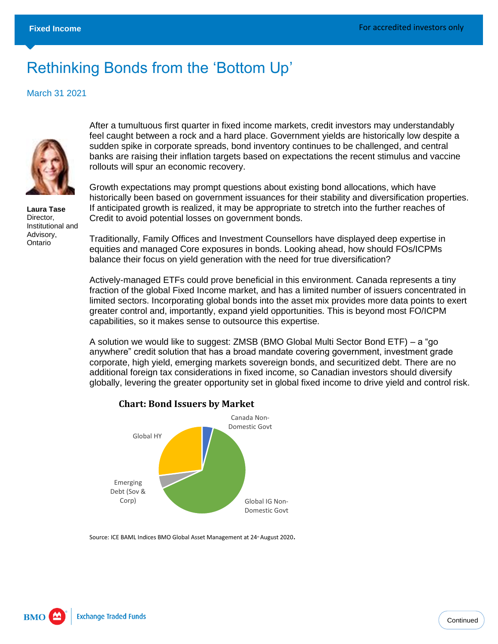# Rethinking Bonds from the 'Bottom Up'

March 31 2021



**Laura Tase** Director, Institutional and Advisory, Ontario

After a tumultuous first quarter in fixed income markets, credit investors may understandably feel caught between a rock and a hard place. Government yields are historically low despite a sudden spike in corporate spreads, bond inventory continues to be challenged, and central banks are raising their inflation targets based on expectations the recent stimulus and vaccine rollouts will spur an economic recovery.

Growth expectations may prompt questions about existing bond allocations, which have historically been based on government issuances for their stability and diversification properties. If anticipated growth is realized, it may be appropriate to stretch into the further reaches of Credit to avoid potential losses on government bonds.

Traditionally, Family Offices and Investment Counsellors have displayed deep expertise in equities and managed Core exposures in bonds. Looking ahead, how should FOs/ICPMs balance their focus on yield generation with the need for true diversification?

Actively-managed ETFs could prove beneficial in this environment. Canada represents a tiny fraction of the global Fixed Income market, and has a limited number of issuers concentrated in limited sectors. Incorporating global bonds into the asset mix provides more data points to exert greater control and, importantly, expand yield opportunities. This is beyond most FO/ICPM capabilities, so it makes sense to outsource this expertise.

A solution we would like to suggest: ZMSB (BMO Global Multi Sector Bond ETF) – a "go anywhere" credit solution that has a broad mandate covering government, investment grade corporate, high yield, emerging markets sovereign bonds, and securitized debt. There are no additional foreign tax considerations in fixed income, so Canadian investors should diversify globally, levering the greater opportunity set in global fixed income to drive yield and control risk.



#### **Chart: Bond Issuers by Market**

Source: ICE BAML Indices BMO Global Asset Management at 24<sup>th</sup> August 2020.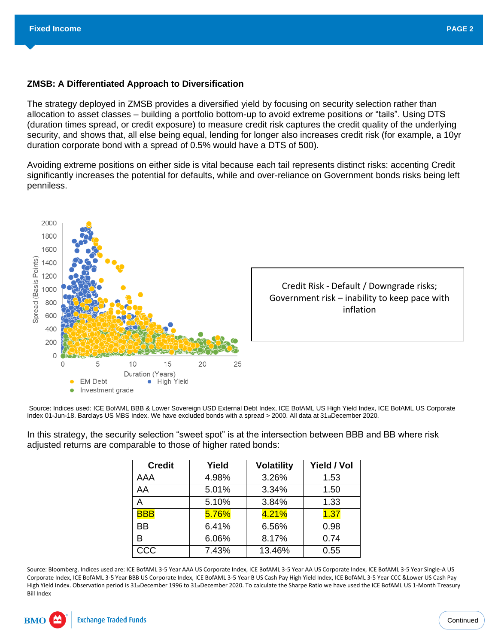#### **ZMSB: A Differentiated Approach to Diversification**

The strategy deployed in ZMSB provides a diversified yield by focusing on security selection rather than allocation to asset classes – building a portfolio bottom-up to avoid extreme positions or "tails". Using DTS (duration times spread, or credit exposure) to measure credit risk captures the credit quality of the underlying security, and shows that, all else being equal, lending for longer also increases credit risk (for example, a 10yr duration corporate bond with a spread of 0.5% would have a DTS of 500).

Avoiding extreme positions on either side is vital because each tail represents distinct risks: accenting Credit significantly increases the potential for defaults, while and over-reliance on Government bonds risks being left penniless.



Credit Risk - Default / Downgrade risks; Government risk – inability to keep pace with inflation

Source: Indices used: ICE BofAML BBB & Lower Sovereign USD External Debt Index, ICE BofAML US High Yield Index, ICE BofAML US Corporate Index 01-Jun-18. Barclays US MBS Index. We have excluded bonds with a spread > 2000. All data at 31stDecember 2020.

In this strategy, the security selection "sweet spot" is at the intersection between BBB and BB where risk adjusted returns are comparable to those of higher rated bonds:

| <b>Credit</b> | Yield | <b>Volatility</b> | Yield / Vol |
|---------------|-------|-------------------|-------------|
| AAA           | 4.98% | 3.26%             | 1.53        |
| AA            | 5.01% | 3.34%             | 1.50        |
| A             | 5.10% | 3.84%             | 1.33        |
| <b>BBB</b>    | 5.76% | 4.21%             | 1.37        |
| BB            | 6.41% | 6.56%             | 0.98        |
| B             | 6.06% | 8.17%             | 0.74        |
| CCC           | 7.43% | 13.46%            | 0.55        |

Source: Bloomberg. Indices used are: ICE BofAML 3-5 Year AAA US Corporate Index, ICE BofAML 3-5 Year AA US Corporate Index, ICE BofAML 3-5 Year Single-A US Corporate Index, ICE BofAML 3-5 Year BBB US Corporate Index, ICE BofAML 3-5 Year B US Cash Pay High Yield Index, ICE BofAML 3-5 Year CCC &Lower US Cash Pay High Yield Index. Observation period is 31stDecember 1996 to 31stDecember 2020. To calculate the Sharpe Ratio we have used the ICE BofAML US 1-Month Treasury Bill Index

**BM**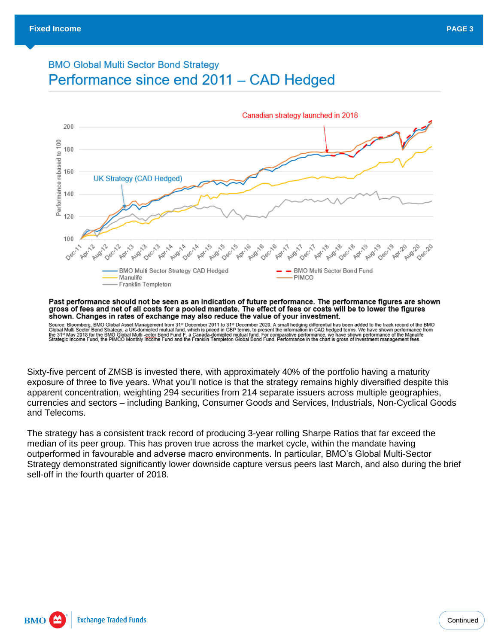## **BMO Global Multi Sector Bond Strategy** Performance since end 2011 – CAD Hedged



Past performance should not be seen as an indication of future performance. The performance figures are shown gross of fees and net of all costs for a pooled mandate. The effect of fees or costs will be to lower the figures<br>shown. Changes in rates of exchange may also reduce the value of your investment.

Source: Bloomberg, BMO Global Asset Management from 31ª December 2011 to 31ª December 2020. A small hedging differential has been added to the track record of the BMO<br>Global Multi Sector Bond Strategy, a UK-domiciled mutua

Sixty-five percent of ZMSB is invested there, with approximately 40% of the portfolio having a maturity exposure of three to five years. What you'll notice is that the strategy remains highly diversified despite this apparent concentration, weighting 294 securities from 214 separate issuers across multiple geographies, currencies and sectors – including Banking, Consumer Goods and Services, Industrials, Non-Cyclical Goods and Telecoms.

The strategy has a consistent track record of producing 3-year rolling Sharpe Ratios that far exceed the median of its peer group. This has proven true across the market cycle, within the mandate having outperformed in favourable and adverse macro environments. In particular, BMO's Global Multi-Sector Strategy demonstrated significantly lower downside capture versus peers last March, and also during the brief sell-off in the fourth quarter of 2018.

**BMO Exchange Traded Funds**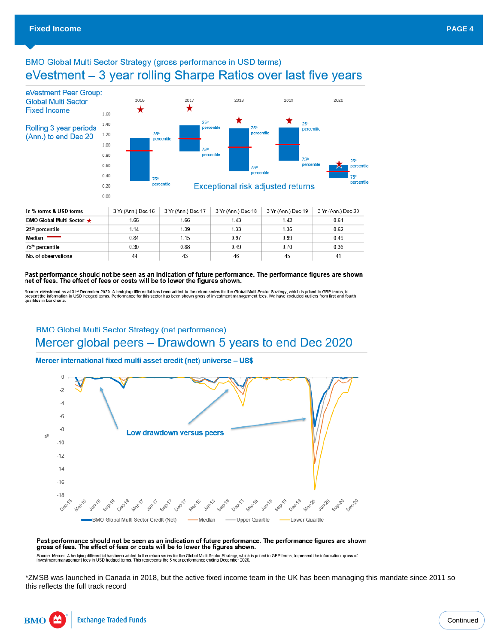### BMO Global Multi Sector Strategy (gross performance in USD terms) eVestment – 3 year rolling Sharpe Ratios over last five years



| <b>BMO Global Multi Sector <math>\star</math></b> | 1.65 | .66  | 1.43 | 1.42 | 0.61 |
|---------------------------------------------------|------|------|------|------|------|
| 25th percentile                                   | 1.14 | 1.39 | 1.33 | 1.35 | 0.62 |
| Median –                                          | 0.84 | 1.15 | 0.97 | 0.99 | 0.49 |
| 75th percentile                                   | 0.30 | 0.88 | 0.49 | 0.70 | 0.36 |
| No. of observations                               | 44   | 43   | 46   | 45   | 41   |

Past performance should not be seen as an indication of future performance. The performance figures are shown net of fees. The effect of fees or costs will be to lower the figures shown.

Source: eVestment as at 31ª December 2020. A hedging differential has been added to the return series for the Global Multi Sector Strategy, which is priced in GBP terms, to<br>vesent the information in USD hedged terms. Perfo

### **BMO Global Multi Sector Strategy (net performance)** Mercer global peers – Drawdown 5 years to end Dec 2020

Mercer international fixed multi asset credit (net) universe - US\$



Past performance should not be seen as an indication of future performance. The performance figures are shown gross of fees. The effect of fees or costs will be to lower the figures shown.

Source: Mercer. A hedging differential has been added to the return series for the Global Multi Sector Strategy, which is priced in GBP terms, to present the information, gross of<br>investment management fees in USD hedged t

\*ZMSB was launched in Canada in 2018, but the active fixed income team in the UK has been managing this mandate since 2011 so this reflects the full track record

**Exchange Traded Funds BMC**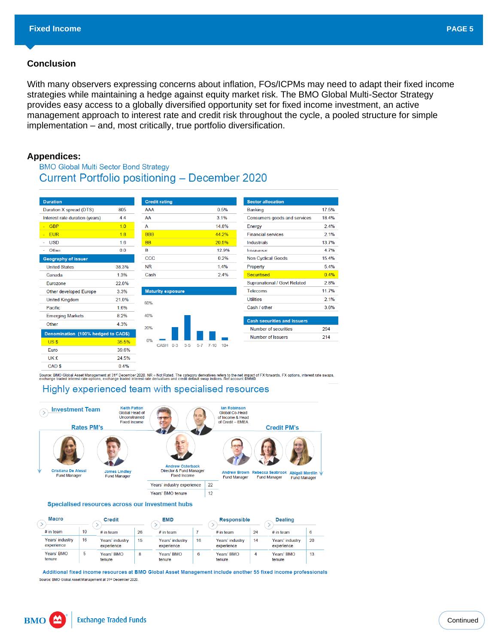#### **Conclusion**

With many observers expressing concerns about inflation, FOs/ICPMs may need to adapt their fixed income strategies while maintaining a hedge against equity market risk. The BMO Global Multi-Sector Strategy provides easy access to a globally diversified opportunity set for fixed income investment, an active management approach to interest rate and credit risk throughout the cycle, a pooled structure for simple implementation – and, most critically, true portfolio diversification.

#### **Appendices:**

CAD<sub>\$</sub>

#### **BMO Global Multi Sector Bond Strategy**

## Current Portfolio positioning - December 2020

| <b>Duration</b>                     |       | <b>Credit rating</b>                              |       | <b>Sector allocation</b>           |       |
|-------------------------------------|-------|---------------------------------------------------|-------|------------------------------------|-------|
| Duration X spread (DTS)             | 805   | AAA                                               | 0.5%  | <b>Banking</b>                     | 17.5% |
| Interest rate duration (years)      | 4.4   | AA                                                | 3.1%  | Consumers goods and services       | 18.4% |
| $-$ GBP                             | 1.0   | A                                                 | 14.8% | Energy                             | 2.4%  |
| $-$ EUR                             | 1.8   | <b>BBB</b>                                        | 44.2% | <b>Financial services</b>          | 2.1%  |
| - USD                               | 1.6   | <b>BB</b>                                         | 20.5% | <b>Industrials</b>                 | 13.7% |
| - Other                             | 0.0   | B                                                 | 12.9% | <b>Insurance</b>                   | 4.7%  |
| <b>Geography of issuer</b>          |       | CCC                                               | 0.2%  | <b>Non Cyclical Goods</b>          | 15.4% |
| <b>United States</b>                | 38.3% | <b>NR</b>                                         | 1.4%  | Property                           | 5.4%  |
| Canada                              | 1.3%  | Cash                                              | 2.4%  | <b>Securitised</b>                 | 0.4%  |
| Eurozone                            | 22.0% |                                                   |       | Supranational / Govt Related       | 2.8%  |
| Other developed Europe              | 3.3%  | <b>Maturity exposure</b>                          |       | <b>Telecoms</b>                    | 11.7% |
| <b>United Kingdom</b>               | 21.0% | 60%                                               |       | <b>Utilities</b>                   | 2.1%  |
| Pacific                             | 1.6%  |                                                   |       | Cash / other                       | 3.6%  |
| <b>Emerging Markets</b>             | 8.2%  | 40%                                               |       |                                    |       |
| Other                               | 4.3%  |                                                   |       | <b>Cash securities and issuers</b> |       |
| Denomination (100% hedged to CAD\$) |       | 20%                                               |       | <b>Number of securities</b>        | 294   |
| US <sub>s</sub>                     | 35.5% | 0%                                                |       | <b>Number of Issuers</b>           | 214   |
| Euro                                | 39.6% | $0 - 3$<br>CASH<br>$3 - 5$<br>$5 - 7$<br>$7 - 10$ | $10+$ |                                    |       |
| UK <sub>£</sub>                     | 24.5% |                                                   |       |                                    |       |

Source: BMO Global Asset Management at 31<sup>4:</sup> December 2020. NR = Not Rated. The category derivatives refers to the net impact of FX forwards, FX options, interest rate swaps,<br>exchange traded interest rate options, exchang

#### Highly experienced team with specialised resources



#### Specialised resources across our investment hubs

 $0.4%$ 

|             | <b>Macro</b>                  |    | <b>Credit</b>                 |    | <b>EMD</b>                    |    | <b>Responsible</b>            |    | <b>Dealing</b>                |    |
|-------------|-------------------------------|----|-------------------------------|----|-------------------------------|----|-------------------------------|----|-------------------------------|----|
| $#$ in team |                               | 10 | $#$ in team                   | 26 | $#$ in team                   |    | $#$ in team                   | 24 | $#$ in team                   | 6  |
|             | Years' industry<br>experience | 16 | Years' industry<br>experience | 15 | Years' industry<br>experience | 16 | Years' industry<br>experience | 14 | Years' industry<br>experience | 20 |
| tenure      | Years' BMO                    | 5  | Years' BMO<br>tenure          | 8  | Years' BMO<br>tenure          | 6  | Years' BMO<br>tenure          |    | Years' BMO<br>tenure          | 13 |

Additional fixed income resources at BMO Global Asset Management include another 55 fixed income professionals Source: BMO Global Asset Management at 31st December 2020